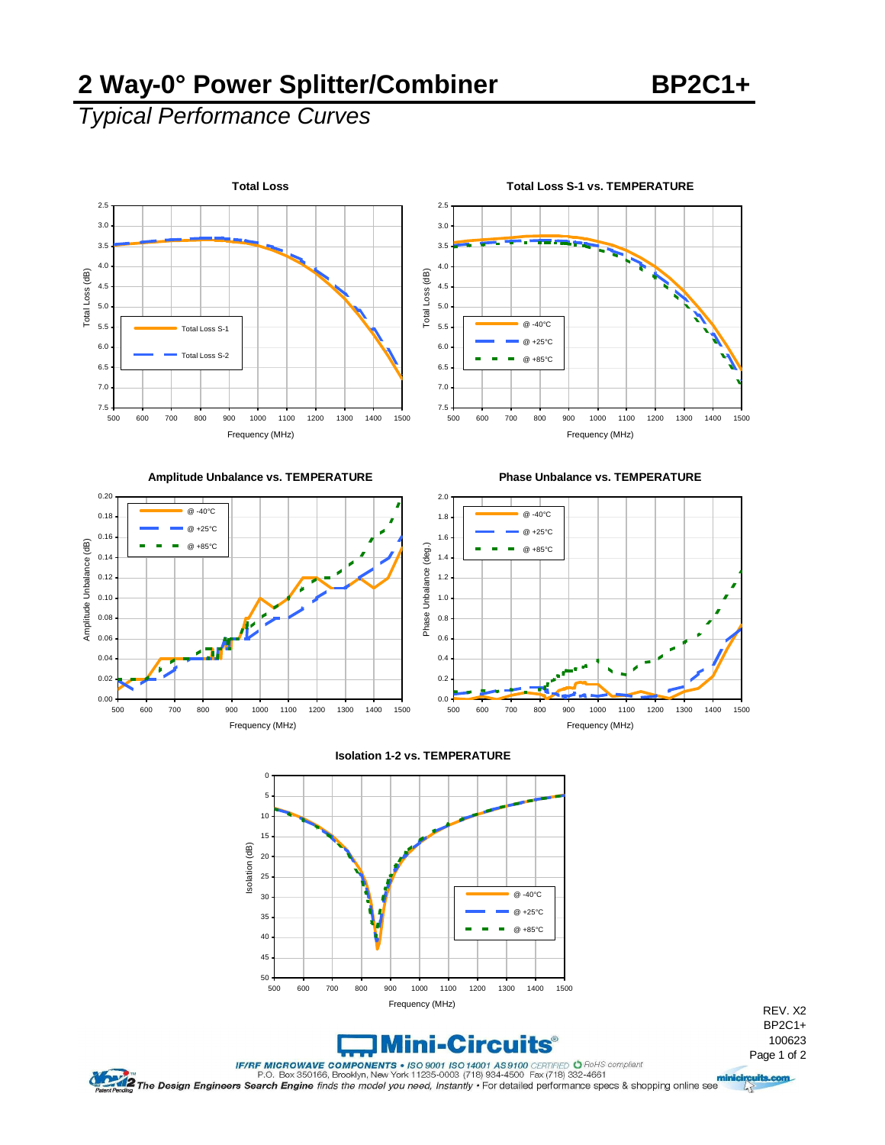### **2 Way-0° Power Splitter/Combiner BP2C1+**

# *Typical Performance Curves*





**Phase Unbalance vs. TEMPERATURE** 









REV. X2 BP2C1+ 100623

 $\sqrt{2}$ 

FIRE MICROWAVE COMPONERTS + ISSUED 1001 189100 ERTIFIED O RolfS compliant<br>P.O. Box 350166, Brooklyn, New York 11235-0003 (718) 934-4500 Fex (718) 932-4661<br>Pagent Pending The Design Engineers Search Engine finds the model y